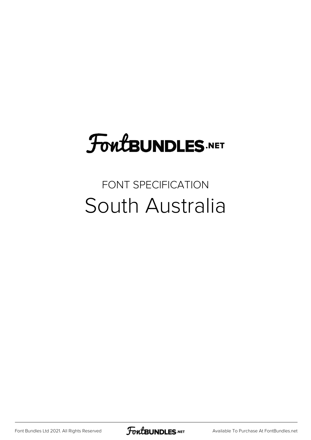## **FoutBUNDLES.NET**

## FONT SPECIFICATION South Australia

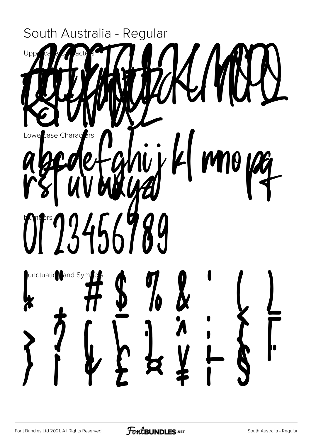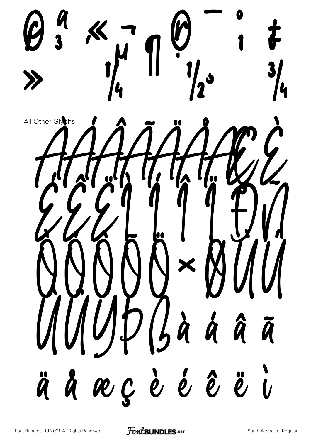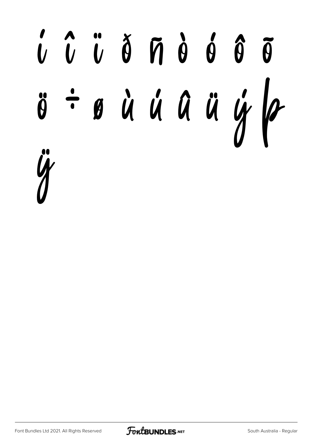## í î ï ð ñ ò ó ô õ ö ÷ ø ù ú û ü ý þ ÿ

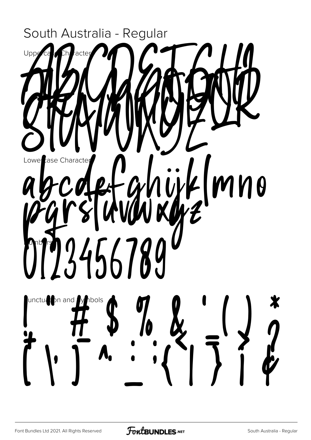

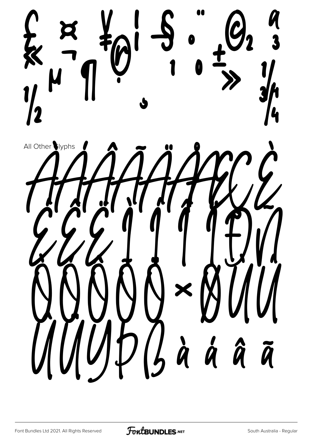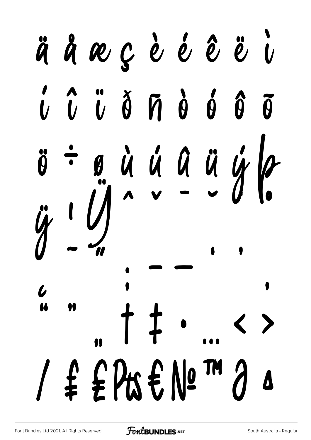